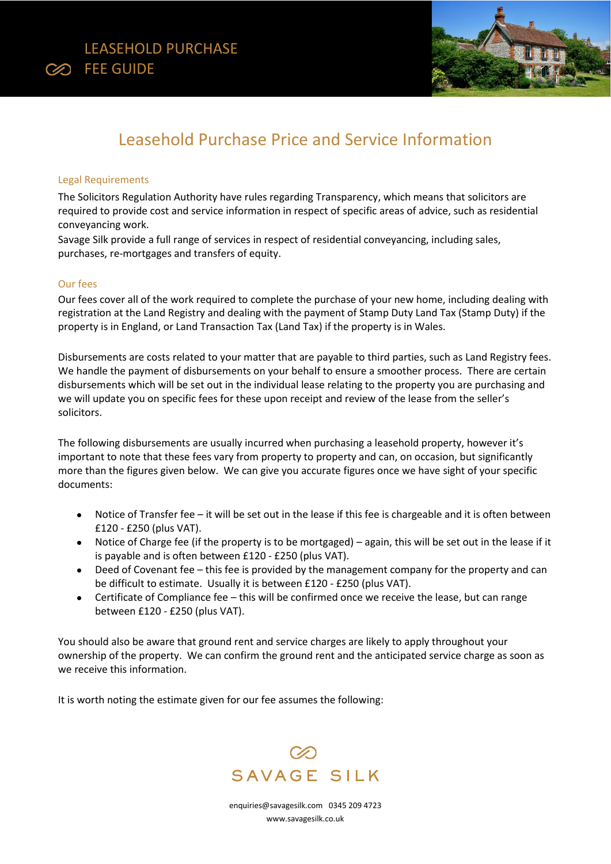



# Leasehold Purchase Price and Service Information

### Legal Requirements

The Solicitors Regulation Authority have rules regarding Transparency, which means that solicitors are required to provide cost and service information in respect of specific areas of advice, such as residential conveyancing work.

Savage Silk provide a full range of services in respect of residential conveyancing, including sales, purchases, re-mortgages and transfers of equity.

### Our fees

Our fees cover all of the work required to complete the purchase of your new home, including dealing with registration at the Land Registry and dealing with the payment of Stamp Duty Land Tax (Stamp Duty) if the property is in England, or Land Transaction Tax (Land Tax) if the property is in Wales.

Disbursements are costs related to your matter that are payable to third parties, such as Land Registry fees. We handle the payment of disbursements on your behalf to ensure a smoother process. There are certain disbursements which will be set out in the individual lease relating to the property you are purchasing and we will update you on specific fees for these upon receipt and review of the lease from the seller's solicitors.

The following disbursements are usually incurred when purchasing a leasehold property, however it's important to note that these fees vary from property to property and can, on occasion, but significantly more than the figures given below. We can give you accurate figures once we have sight of your specific documents:

- Notice of Transfer fee it will be set out in the lease if this fee is chargeable and it is often between £120 - £250 (plus VAT).
- Notice of Charge fee (if the property is to be mortgaged) again, this will be set out in the lease if it is payable and is often between £120 - £250 (plus VAT).
- Deed of Covenant fee this fee is provided by the management company for the property and can be difficult to estimate. Usually it is between £120 - £250 (plus VAT).
- Certificate of Compliance fee this will be confirmed once we receive the lease, but can range between £120 - £250 (plus VAT).

You should also be aware that ground rent and service charges are likely to apply throughout your ownership of the property. We can confirm the ground rent and the anticipated service charge as soon as we receive this information.

It is worth noting the estimate given for our fee assumes the following:



[enquiries@savagesilk.com](mailto:enquiries@savagesilk.co.uk) 0345 209 4723 [www.savagesilk.co.uk](http://www.savagesilk.co.uk/)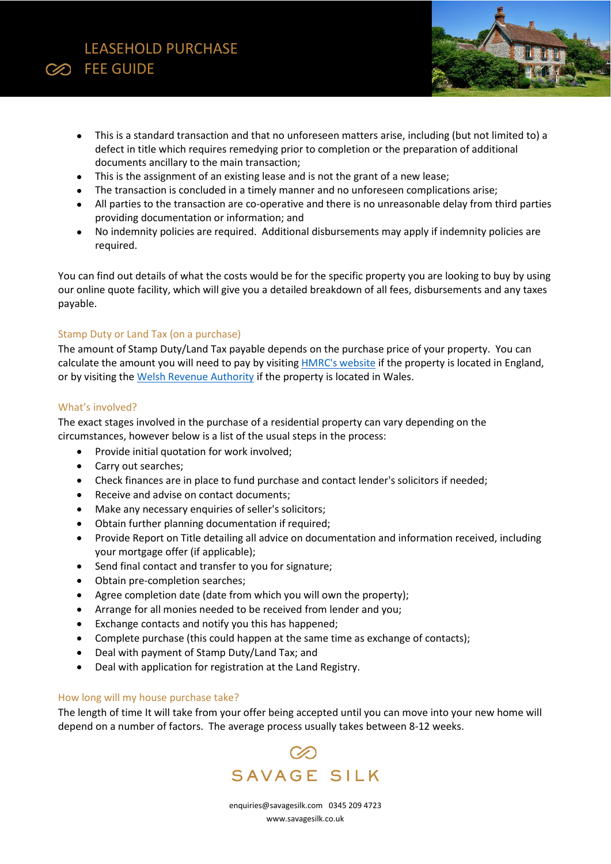## LEASEHOLD PURCHASE **CO** FEE GUIDE

- This is a standard transaction and that no unforeseen matters arise, including (but not limited to) a defect in title which requires remedying prior to completion or the preparation of additional documents ancillary to the main transaction;
- This is the assignment of an existing lease and is not the grant of a new lease;
- The transaction is concluded in a timely manner and no unforeseen complications arise;
- All parties to the transaction are co-operative and there is no unreasonable delay from third parties providing documentation or information; and
- No indemnity policies are required. Additional disbursements may apply if indemnity policies are required.

You can find out details of what the costs would be for the specific property you are looking to buy by using our online quote facility, which will give you a detailed breakdown of all fees, disbursements and any taxes payable.

### Stamp Duty or Land Tax (on a purchase)

The amount of Stamp Duty/Land Tax payable depends on the purchase price of your property. You can calculate the amount you will need to pay by visiting **HMRC's website if the property is located in England**, or by visiting th[e Welsh Revenue Authority](https://savagesilk-my.sharepoint.com/personal/helen_casely_sshbusiness_co_uk/Documents/Desktop/Welsh%20Revenue%20Authority) if the property is located in Wales.

### What's involved?

The exact stages involved in the purchase of a residential property can vary depending on the circumstances, however below is a list of the usual steps in the process:

- Provide initial quotation for work involved;
- Carry out searches;
- Check finances are in place to fund purchase and contact lender's solicitors if needed;
- Receive and advise on contact documents;
- Make any necessary enquiries of seller's solicitors;
- Obtain further planning documentation if required;
- Provide Report on Title detailing all advice on documentation and information received, including your mortgage offer (if applicable);
- Send final contact and transfer to you for signature;
- Obtain pre-completion searches;
- Agree completion date (date from which you will own the property);
- Arrange for all monies needed to be received from lender and you;
- Exchange contacts and notify you this has happened;
- Complete purchase (this could happen at the same time as exchange of contacts);
- Deal with payment of Stamp Duty/Land Tax; and
- Deal with application for registration at the Land Registry.

### How long will my house purchase take?

The length of time It will take from your offer being accepted until you can move into your new home will depend on a number of factors. The average process usually takes between 8-12 weeks.



[enquiries@savagesilk.com](mailto:enquiries@savagesilk.co.uk) 0345 209 4723 [www.savagesilk.co.uk](http://www.savagesilk.co.uk/)